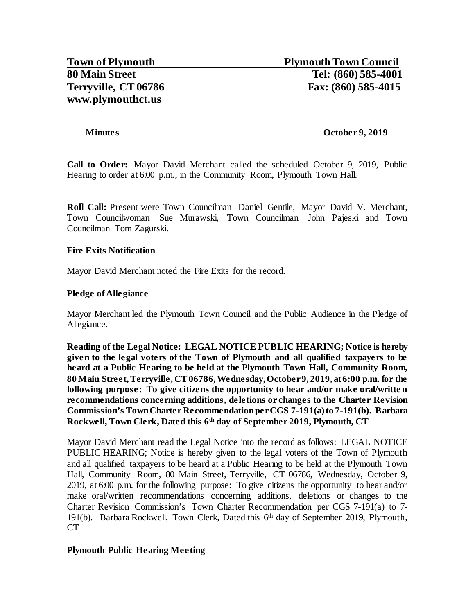#### **Minutes Contract Contract Contract Contract Contract Contract Contract Contract Contract October 9, 2019**

**Call to Order:** Mayor David Merchant called the scheduled October 9, 2019, Public Hearing to order at 6:00 p.m., in the Community Room, Plymouth Town Hall.

**Roll Call:** Present were Town Councilman Daniel Gentile, Mayor David V. Merchant, Town Councilwoman Sue Murawski, Town Councilman John Pajeski and Town Councilman Tom Zagurski.

#### **Fire Exits Notification**

Mayor David Merchant noted the Fire Exits for the record.

#### **Pledge of Allegiance**

Mayor Merchant led the Plymouth Town Council and the Public Audience in the Pledge of Allegiance.

**Reading of the Legal Notice: LEGAL NOTICE PUBLIC HEARING; Notice is hereby given to the legal voters of the Town of Plymouth and all qualified taxpayers to be heard at a Public Hearing to be held at the Plymouth Town Hall, Community Room, 80 Main Street,Terryville, CT 06786, Wednesday, October 9, 2019, at 6:00 p.m. for the following purpose: To give citizens the opportunity to hear and/or make oral/writte n recommendations concerning additions, deletions or changes to the Charter Revision Commission's Town Charter Recommendation per CGS 7-191(a) to 7-191(b). Barbara Rockwell, Town Clerk, Dated this 6th day of September 2019, Plymouth, CT**

Mayor David Merchant read the Legal Notice into the record as follows: LEGAL NOTICE PUBLIC HEARING; Notice is hereby given to the legal voters of the Town of Plymouth and all qualified taxpayers to be heard at a Public Hearing to be held at the Plymouth Town Hall, Community Room, 80 Main Street, Terryville, CT 06786, Wednesday, October 9, 2019, at 6:00 p.m. for the following purpose: To give citizens the opportunity to hear and/or make oral/written recommendations concerning additions, deletions or changes to the Charter Revision Commission's Town Charter Recommendation per CGS 7-191(a) to 7- 191(b). Barbara Rockwell, Town Clerk, Dated this 6<sup>th</sup> day of September 2019, Plymouth, CT

# **Plymouth Public Hearing Meeting**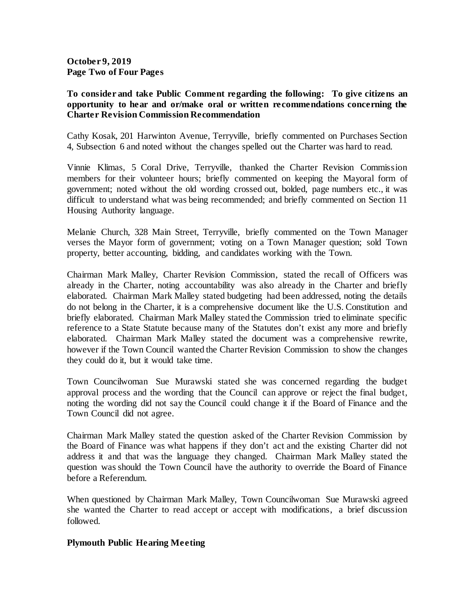**October 9, 2019 Page Two of Four Pages**

# **To consider and take Public Comment regarding the following: To give citizens an opportunity to hear and or/make oral or written recommendations concerning the Charter Revision Commission Recommendation**

Cathy Kosak, 201 Harwinton Avenue, Terryville, briefly commented on Purchases Section 4, Subsection 6 and noted without the changes spelled out the Charter was hard to read.

Vinnie Klimas, 5 Coral Drive, Terryville, thanked the Charter Revision Commission members for their volunteer hours; briefly commented on keeping the Mayoral form of government; noted without the old wording crossed out, bolded, page numbers etc., it was difficult to understand what was being recommended; and briefly commented on Section 11 Housing Authority language.

Melanie Church, 328 Main Street, Terryville, briefly commented on the Town Manager verses the Mayor form of government; voting on a Town Manager question; sold Town property, better accounting, bidding, and candidates working with the Town.

Chairman Mark Malley, Charter Revision Commission, stated the recall of Officers was already in the Charter, noting accountability was also already in the Charter and briefly elaborated. Chairman Mark Malley stated budgeting had been addressed, noting the details do not belong in the Charter, it is a comprehensive document like the U.S. Constitution and briefly elaborated. Chairman Mark Malley stated the Commission tried to eliminate specific reference to a State Statute because many of the Statutes don't exist any more and briefly elaborated. Chairman Mark Malley stated the document was a comprehensive rewrite, however if the Town Council wanted the Charter Revision Commission to show the changes they could do it, but it would take time.

Town Councilwoman Sue Murawski stated she was concerned regarding the budget approval process and the wording that the Council can approve or reject the final budget, noting the wording did not say the Council could change it if the Board of Finance and the Town Council did not agree.

Chairman Mark Malley stated the question asked of the Charter Revision Commission by the Board of Finance was what happens if they don't act and the existing Charter did not address it and that was the language they changed. Chairman Mark Malley stated the question was should the Town Council have the authority to override the Board of Finance before a Referendum.

When questioned by Chairman Mark Malley, Town Councilwoman Sue Murawski agreed she wanted the Charter to read accept or accept with modifications, a brief discussion followed.

# **Plymouth Public Hearing Meeting**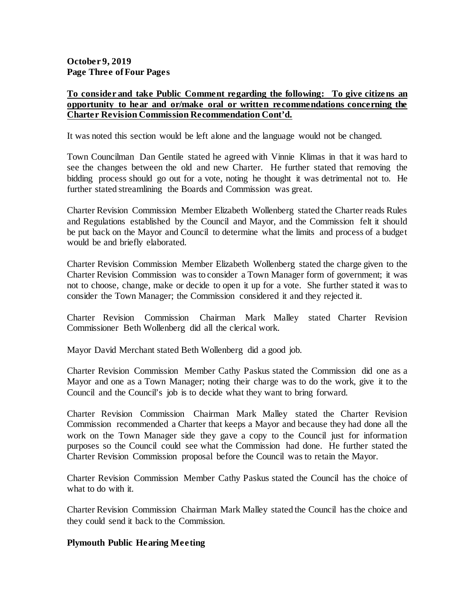# **October 9, 2019 Page Three ofFour Pages**

# **To consider and take Public Comment regarding the following: To give citizens an opportunity to hear and or/make oral or written recommendations concerning the Charter Revision Commission Recommendation Cont'd.**

It was noted this section would be left alone and the language would not be changed.

Town Councilman Dan Gentile stated he agreed with Vinnie Klimas in that it was hard to see the changes between the old and new Charter. He further stated that removing the bidding process should go out for a vote, noting he thought it was detrimental not to. He further stated streamlining the Boards and Commission was great.

Charter Revision Commission Member Elizabeth Wollenberg stated the Charter reads Rules and Regulations established by the Council and Mayor, and the Commission felt it should be put back on the Mayor and Council to determine what the limits and process of a budget would be and briefly elaborated.

Charter Revision Commission Member Elizabeth Wollenberg stated the charge given to the Charter Revision Commission was to consider a Town Manager form of government; it was not to choose, change, make or decide to open it up for a vote. She further stated it was to consider the Town Manager; the Commission considered it and they rejected it.

Charter Revision Commission Chairman Mark Malley stated Charter Revision Commissioner Beth Wollenberg did all the clerical work.

Mayor David Merchant stated Beth Wollenberg did a good job.

Charter Revision Commission Member Cathy Paskus stated the Commission did one as a Mayor and one as a Town Manager; noting their charge was to do the work, give it to the Council and the Council's job is to decide what they want to bring forward.

Charter Revision Commission Chairman Mark Malley stated the Charter Revision Commission recommended a Charter that keeps a Mayor and because they had done all the work on the Town Manager side they gave a copy to the Council just for information purposes so the Council could see what the Commission had done. He further stated the Charter Revision Commission proposal before the Council was to retain the Mayor.

Charter Revision Commission Member Cathy Paskus stated the Council has the choice of what to do with it.

Charter Revision Commission Chairman Mark Malley stated the Council has the choice and they could send it back to the Commission.

# **Plymouth Public Hearing Meeting**